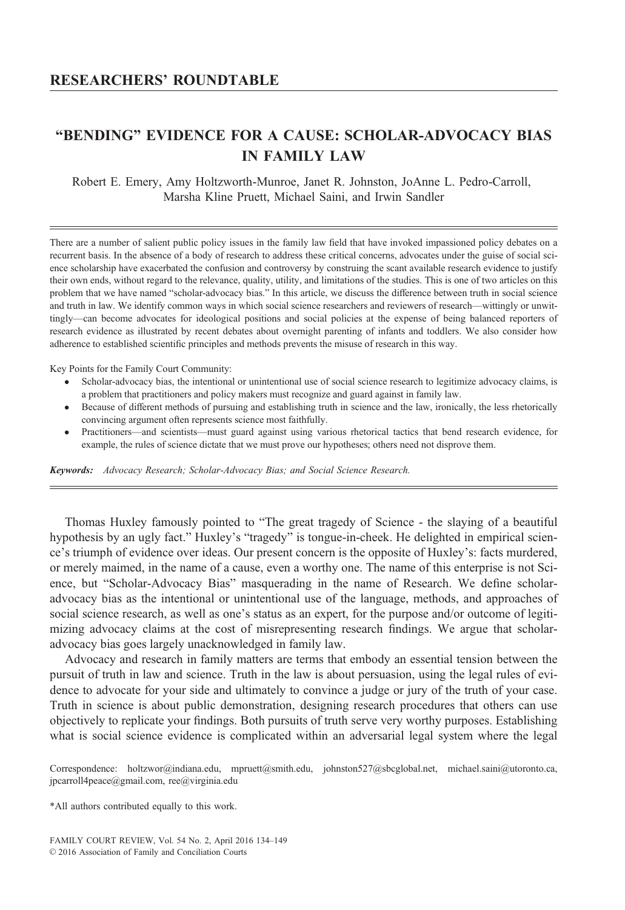# "BENDING" EVIDENCE FOR A CAUSE: SCHOLAR-ADVOCACY BIAS IN FAMILY LAW

Robert E. Emery, Amy Holtzworth-Munroe, Janet R. Johnston, JoAnne L. Pedro-Carroll, Marsha Kline Pruett, Michael Saini, and Irwin Sandler

There are a number of salient public policy issues in the family law field that have invoked impassioned policy debates on a recurrent basis. In the absence of a body of research to address these critical concerns, advocates under the guise of social science scholarship have exacerbated the confusion and controversy by construing the scant available research evidence to justify their own ends, without regard to the relevance, quality, utility, and limitations of the studies. This is one of two articles on this problem that we have named "scholar-advocacy bias." In this article, we discuss the difference between truth in social science and truth in law. We identify common ways in which social science researchers and reviewers of research—wittingly or unwittingly—can become advocates for ideological positions and social policies at the expense of being balanced reporters of research evidence as illustrated by recent debates about overnight parenting of infants and toddlers. We also consider how adherence to established scientific principles and methods prevents the misuse of research in this way.

Key Points for the Family Court Community:

- Scholar-advocacy bias, the intentional or unintentional use of social science research to legitimize advocacy claims, is a problem that practitioners and policy makers must recognize and guard against in family law.
- Because of different methods of pursuing and establishing truth in science and the law, ironically, the less rhetorically convincing argument often represents science most faithfully.
- - Practitioners—and scientists—must guard against using various rhetorical tactics that bend research evidence, for example, the rules of science dictate that we must prove our hypotheses; others need not disprove them.

Keywords: Advocacy Research; Scholar-Advocacy Bias; and Social Science Research.

Thomas Huxley famously pointed to "The great tragedy of Science - the slaying of a beautiful hypothesis by an ugly fact." Huxley's "tragedy" is tongue-in-cheek. He delighted in empirical science's triumph of evidence over ideas. Our present concern is the opposite of Huxley's: facts murdered, or merely maimed, in the name of a cause, even a worthy one. The name of this enterprise is not Science, but "Scholar-Advocacy Bias" masquerading in the name of Research. We define scholaradvocacy bias as the intentional or unintentional use of the language, methods, and approaches of social science research, as well as one's status as an expert, for the purpose and/or outcome of legitimizing advocacy claims at the cost of misrepresenting research findings. We argue that scholaradvocacy bias goes largely unacknowledged in family law.

Advocacy and research in family matters are terms that embody an essential tension between the pursuit of truth in law and science. Truth in the law is about persuasion, using the legal rules of evidence to advocate for your side and ultimately to convince a judge or jury of the truth of your case. Truth in science is about public demonstration, designing research procedures that others can use objectively to replicate your findings. Both pursuits of truth serve very worthy purposes. Establishing what is social science evidence is complicated within an adversarial legal system where the legal

Correspondence: holtzwor@indiana.edu, mpruett@smith.edu, johnston527@sbcglobal.net, michael.saini@utoronto.ca, jpcarroll4peace@gmail.com, ree@virginia.edu

\*All authors contributed equally to this work.

FAMILY COURT REVIEW, Vol. 54 No. 2, April 2016 134–149  $© 2016 Association of Family and Conclusion}$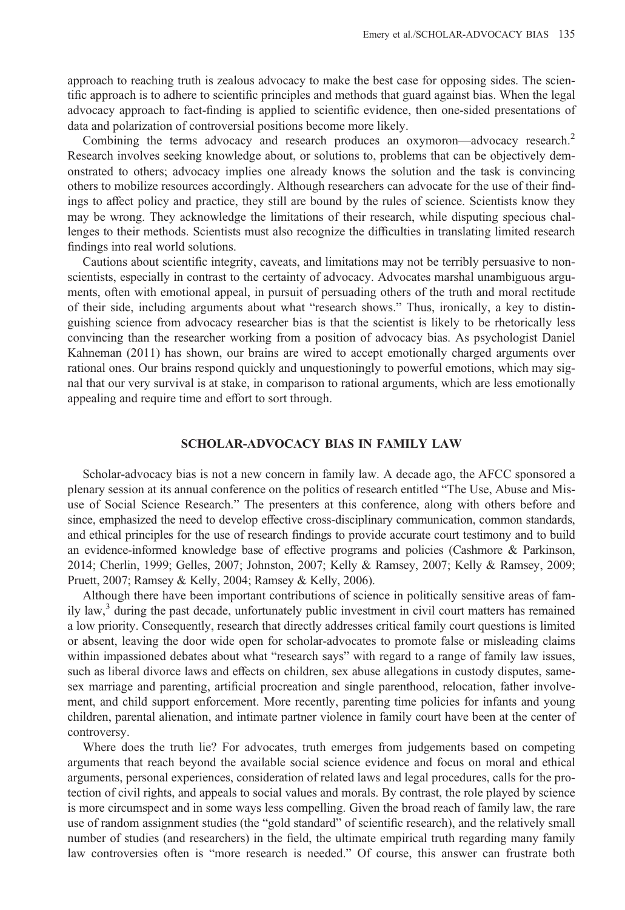approach to reaching truth is zealous advocacy to make the best case for opposing sides. The scientific approach is to adhere to scientific principles and methods that guard against bias. When the legal advocacy approach to fact-finding is applied to scientific evidence, then one-sided presentations of data and polarization of controversial positions become more likely.

Combining the terms advocacy and research produces an oxymoron—advocacy research.<sup>2</sup> Research involves seeking knowledge about, or solutions to, problems that can be objectively demonstrated to others; advocacy implies one already knows the solution and the task is convincing others to mobilize resources accordingly. Although researchers can advocate for the use of their findings to affect policy and practice, they still are bound by the rules of science. Scientists know they may be wrong. They acknowledge the limitations of their research, while disputing specious challenges to their methods. Scientists must also recognize the difficulties in translating limited research findings into real world solutions.

Cautions about scientific integrity, caveats, and limitations may not be terribly persuasive to nonscientists, especially in contrast to the certainty of advocacy. Advocates marshal unambiguous arguments, often with emotional appeal, in pursuit of persuading others of the truth and moral rectitude of their side, including arguments about what "research shows." Thus, ironically, a key to distinguishing science from advocacy researcher bias is that the scientist is likely to be rhetorically less convincing than the researcher working from a position of advocacy bias. As psychologist Daniel Kahneman (2011) has shown, our brains are wired to accept emotionally charged arguments over rational ones. Our brains respond quickly and unquestioningly to powerful emotions, which may signal that our very survival is at stake, in comparison to rational arguments, which are less emotionally appealing and require time and effort to sort through.

# SCHOLAR-ADVOCACY BIAS IN FAMILY LAW

Scholar-advocacy bias is not a new concern in family law. A decade ago, the AFCC sponsored a plenary session at its annual conference on the politics of research entitled "The Use, Abuse and Misuse of Social Science Research." The presenters at this conference, along with others before and since, emphasized the need to develop effective cross-disciplinary communication, common standards, and ethical principles for the use of research findings to provide accurate court testimony and to build an evidence-informed knowledge base of effective programs and policies (Cashmore & Parkinson, 2014; Cherlin, 1999; Gelles, 2007; Johnston, 2007; Kelly & Ramsey, 2007; Kelly & Ramsey, 2009; Pruett, 2007; Ramsey & Kelly, 2004; Ramsey & Kelly, 2006).

Although there have been important contributions of science in politically sensitive areas of family law, $3$  during the past decade, unfortunately public investment in civil court matters has remained a low priority. Consequently, research that directly addresses critical family court questions is limited or absent, leaving the door wide open for scholar-advocates to promote false or misleading claims within impassioned debates about what "research says" with regard to a range of family law issues, such as liberal divorce laws and effects on children, sex abuse allegations in custody disputes, samesex marriage and parenting, artificial procreation and single parenthood, relocation, father involvement, and child support enforcement. More recently, parenting time policies for infants and young children, parental alienation, and intimate partner violence in family court have been at the center of controversy.

Where does the truth lie? For advocates, truth emerges from judgements based on competing arguments that reach beyond the available social science evidence and focus on moral and ethical arguments, personal experiences, consideration of related laws and legal procedures, calls for the protection of civil rights, and appeals to social values and morals. By contrast, the role played by science is more circumspect and in some ways less compelling. Given the broad reach of family law, the rare use of random assignment studies (the "gold standard" of scientific research), and the relatively small number of studies (and researchers) in the field, the ultimate empirical truth regarding many family law controversies often is "more research is needed." Of course, this answer can frustrate both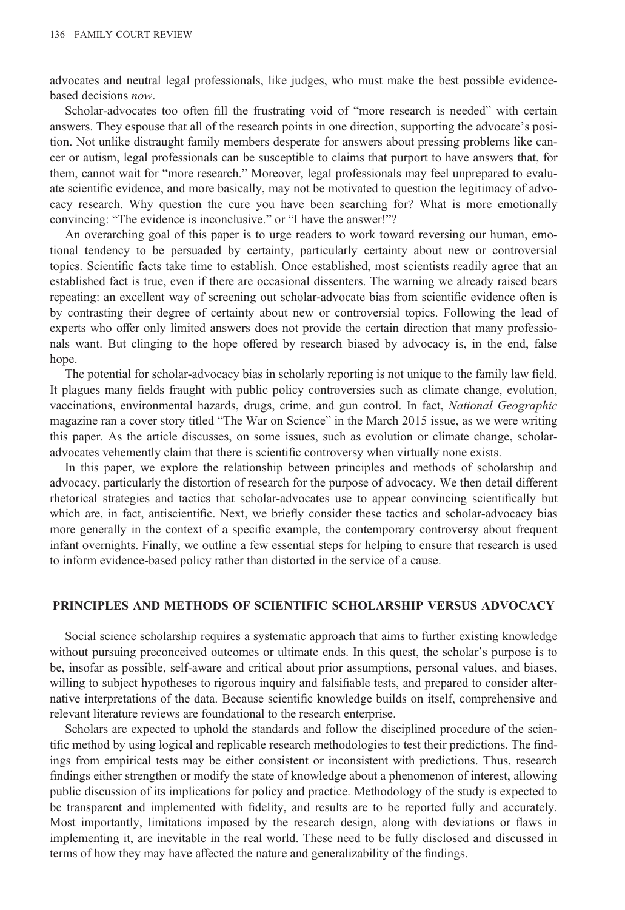advocates and neutral legal professionals, like judges, who must make the best possible evidencebased decisions now.

Scholar-advocates too often fill the frustrating void of "more research is needed" with certain answers. They espouse that all of the research points in one direction, supporting the advocate's position. Not unlike distraught family members desperate for answers about pressing problems like cancer or autism, legal professionals can be susceptible to claims that purport to have answers that, for them, cannot wait for "more research." Moreover, legal professionals may feel unprepared to evaluate scientific evidence, and more basically, may not be motivated to question the legitimacy of advocacy research. Why question the cure you have been searching for? What is more emotionally convincing: "The evidence is inconclusive." or "I have the answer!"?

An overarching goal of this paper is to urge readers to work toward reversing our human, emotional tendency to be persuaded by certainty, particularly certainty about new or controversial topics. Scientific facts take time to establish. Once established, most scientists readily agree that an established fact is true, even if there are occasional dissenters. The warning we already raised bears repeating: an excellent way of screening out scholar-advocate bias from scientific evidence often is by contrasting their degree of certainty about new or controversial topics. Following the lead of experts who offer only limited answers does not provide the certain direction that many professionals want. But clinging to the hope offered by research biased by advocacy is, in the end, false hope.

The potential for scholar-advocacy bias in scholarly reporting is not unique to the family law field. It plagues many fields fraught with public policy controversies such as climate change, evolution, vaccinations, environmental hazards, drugs, crime, and gun control. In fact, National Geographic magazine ran a cover story titled "The War on Science" in the March 2015 issue, as we were writing this paper. As the article discusses, on some issues, such as evolution or climate change, scholaradvocates vehemently claim that there is scientific controversy when virtually none exists.

In this paper, we explore the relationship between principles and methods of scholarship and advocacy, particularly the distortion of research for the purpose of advocacy. We then detail different rhetorical strategies and tactics that scholar-advocates use to appear convincing scientifically but which are, in fact, antiscientific. Next, we briefly consider these tactics and scholar-advocacy bias more generally in the context of a specific example, the contemporary controversy about frequent infant overnights. Finally, we outline a few essential steps for helping to ensure that research is used to inform evidence-based policy rather than distorted in the service of a cause.

# PRINCIPLES AND METHODS OF SCIENTIFIC SCHOLARSHIP VERSUS ADVOCACY

Social science scholarship requires a systematic approach that aims to further existing knowledge without pursuing preconceived outcomes or ultimate ends. In this quest, the scholar's purpose is to be, insofar as possible, self-aware and critical about prior assumptions, personal values, and biases, willing to subject hypotheses to rigorous inquiry and falsifiable tests, and prepared to consider alternative interpretations of the data. Because scientific knowledge builds on itself, comprehensive and relevant literature reviews are foundational to the research enterprise.

Scholars are expected to uphold the standards and follow the disciplined procedure of the scientific method by using logical and replicable research methodologies to test their predictions. The findings from empirical tests may be either consistent or inconsistent with predictions. Thus, research findings either strengthen or modify the state of knowledge about a phenomenon of interest, allowing public discussion of its implications for policy and practice. Methodology of the study is expected to be transparent and implemented with fidelity, and results are to be reported fully and accurately. Most importantly, limitations imposed by the research design, along with deviations or flaws in implementing it, are inevitable in the real world. These need to be fully disclosed and discussed in terms of how they may have affected the nature and generalizability of the findings.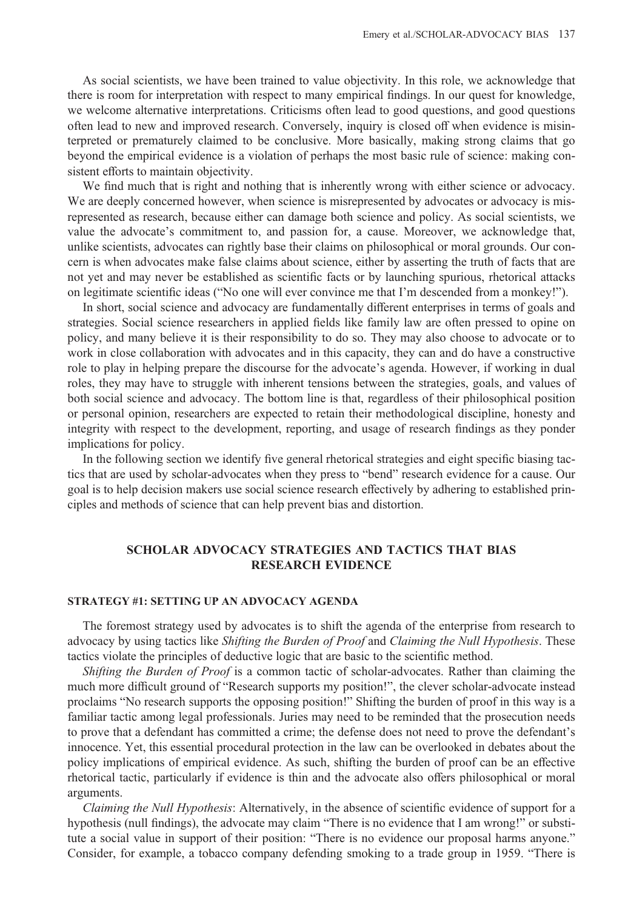As social scientists, we have been trained to value objectivity. In this role, we acknowledge that there is room for interpretation with respect to many empirical findings. In our quest for knowledge, we welcome alternative interpretations. Criticisms often lead to good questions, and good questions often lead to new and improved research. Conversely, inquiry is closed off when evidence is misinterpreted or prematurely claimed to be conclusive. More basically, making strong claims that go beyond the empirical evidence is a violation of perhaps the most basic rule of science: making consistent efforts to maintain objectivity.

We find much that is right and nothing that is inherently wrong with either science or advocacy. We are deeply concerned however, when science is misrepresented by advocates or advocacy is misrepresented as research, because either can damage both science and policy. As social scientists, we value the advocate's commitment to, and passion for, a cause. Moreover, we acknowledge that, unlike scientists, advocates can rightly base their claims on philosophical or moral grounds. Our concern is when advocates make false claims about science, either by asserting the truth of facts that are not yet and may never be established as scientific facts or by launching spurious, rhetorical attacks on legitimate scientific ideas ("No one will ever convince me that I'm descended from a monkey!").

In short, social science and advocacy are fundamentally different enterprises in terms of goals and strategies. Social science researchers in applied fields like family law are often pressed to opine on policy, and many believe it is their responsibility to do so. They may also choose to advocate or to work in close collaboration with advocates and in this capacity, they can and do have a constructive role to play in helping prepare the discourse for the advocate's agenda. However, if working in dual roles, they may have to struggle with inherent tensions between the strategies, goals, and values of both social science and advocacy. The bottom line is that, regardless of their philosophical position or personal opinion, researchers are expected to retain their methodological discipline, honesty and integrity with respect to the development, reporting, and usage of research findings as they ponder implications for policy.

In the following section we identify five general rhetorical strategies and eight specific biasing tactics that are used by scholar-advocates when they press to "bend" research evidence for a cause. Our goal is to help decision makers use social science research effectively by adhering to established principles and methods of science that can help prevent bias and distortion.

# SCHOLAR ADVOCACY STRATEGIES AND TACTICS THAT BIAS RESEARCH EVIDENCE

# STRATEGY #1: SETTING UP AN ADVOCACY AGENDA

The foremost strategy used by advocates is to shift the agenda of the enterprise from research to advocacy by using tactics like Shifting the Burden of Proof and Claiming the Null Hypothesis. These tactics violate the principles of deductive logic that are basic to the scientific method.

Shifting the Burden of Proof is a common tactic of scholar-advocates. Rather than claiming the much more difficult ground of "Research supports my position!", the clever scholar-advocate instead proclaims "No research supports the opposing position!" Shifting the burden of proof in this way is a familiar tactic among legal professionals. Juries may need to be reminded that the prosecution needs to prove that a defendant has committed a crime; the defense does not need to prove the defendant's innocence. Yet, this essential procedural protection in the law can be overlooked in debates about the policy implications of empirical evidence. As such, shifting the burden of proof can be an effective rhetorical tactic, particularly if evidence is thin and the advocate also offers philosophical or moral arguments.

Claiming the Null Hypothesis: Alternatively, in the absence of scientific evidence of support for a hypothesis (null findings), the advocate may claim "There is no evidence that I am wrong!" or substitute a social value in support of their position: "There is no evidence our proposal harms anyone." Consider, for example, a tobacco company defending smoking to a trade group in 1959. "There is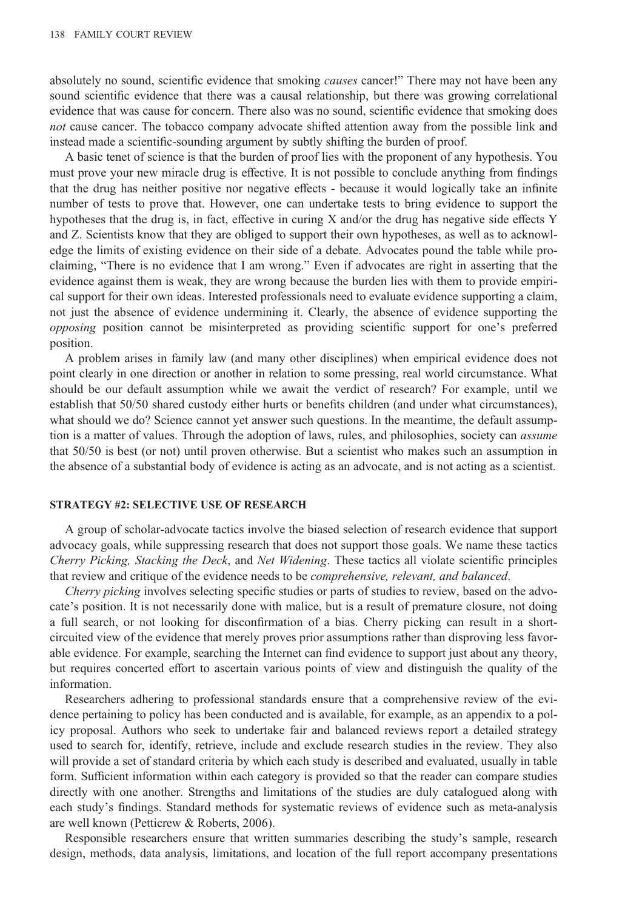absolutely no sound, scientific evidence that smoking *causes* cancer!" There may not have been any sound scientific evidence that there was a causal relationship, but there was growing correlational evidence that was cause for concern. There also was no sound, scientific evidence that smoking does not cause cancer. The tobacco company advocate shifted attention away from the possible link and instead made a scientific-sounding argument by subtly shifting the burden of proof.

A basic tenet of science is that the burden of proof lies with the proponent of any hypothesis. You must prove your new miracle drug is effective. It is not possible to conclude anything from findings that the drug has neither positive nor negative effects - because it would logically take an infinite number of tests to prove that. However, one can undertake tests to bring evidence to support the hypotheses that the drug is, in fact, effective in curing X and/or the drug has negative side effects Y and Z. Scientists know that they are obliged to support their own hypotheses, as well as to acknowledge the limits of existing evidence on their side of a debate. Advocates pound the table while proclaiming, "There is no evidence that I am wrong." Even if advocates are right in asserting that the evidence against them is weak, they are wrong because the burden lies with them to provide empirical support for their own ideas. Interested professionals need to evaluate evidence supporting a claim, not just the absence of evidence undermining it. Clearly, the absence of evidence supporting the opposing position cannot be misinterpreted as providing scientific support for one's preferred position.

A problem arises in family law (and many other disciplines) when empirical evidence does not point clearly in one direction or another in relation to some pressing, real world circumstance. What should be our default assumption while we await the verdict of research? For example, until we establish that 50/50 shared custody either hurts or benefits children (and under what circumstances), what should we do? Science cannot yet answer such questions. In the meantime, the default assumption is a matter of values. Through the adoption of laws, rules, and philosophies, society can *assume* that 50/50 is best (or not) until proven otherwise. But a scientist who makes such an assumption in the absence of a substantial body of evidence is acting as an advocate, and is not acting as a scientist.

### STRATEGY #2: SELECTIVE USE OF RESEARCH

A group of scholar-advocate tactics involve the biased selection of research evidence that support advocacy goals, while suppressing research that does not support those goals. We name these tactics Cherry Picking, Stacking the Deck, and Net Widening. These tactics all violate scientific principles that review and critique of the evidence needs to be *comprehensive*, *relevant*, and balanced.

Cherry picking involves selecting specific studies or parts of studies to review, based on the advocate's position. It is not necessarily done with malice, but is a result of premature closure, not doing a full search, or not looking for disconfirmation of a bias. Cherry picking can result in a shortcircuited view of the evidence that merely proves prior assumptions rather than disproving less favorable evidence. For example, searching the Internet can find evidence to support just about any theory, but requires concerted effort to ascertain various points of view and distinguish the quality of the information.

Researchers adhering to professional standards ensure that a comprehensive review of the evidence pertaining to policy has been conducted and is available, for example, as an appendix to a policy proposal. Authors who seek to undertake fair and balanced reviews report a detailed strategy used to search for, identify, retrieve, include and exclude research studies in the review. They also will provide a set of standard criteria by which each study is described and evaluated, usually in table form. Sufficient information within each category is provided so that the reader can compare studies directly with one another. Strengths and limitations of the studies are duly catalogued along with each study's findings. Standard methods for systematic reviews of evidence such as meta-analysis are well known (Petticrew & Roberts, 2006).

Responsible researchers ensure that written summaries describing the study's sample, research design, methods, data analysis, limitations, and location of the full report accompany presentations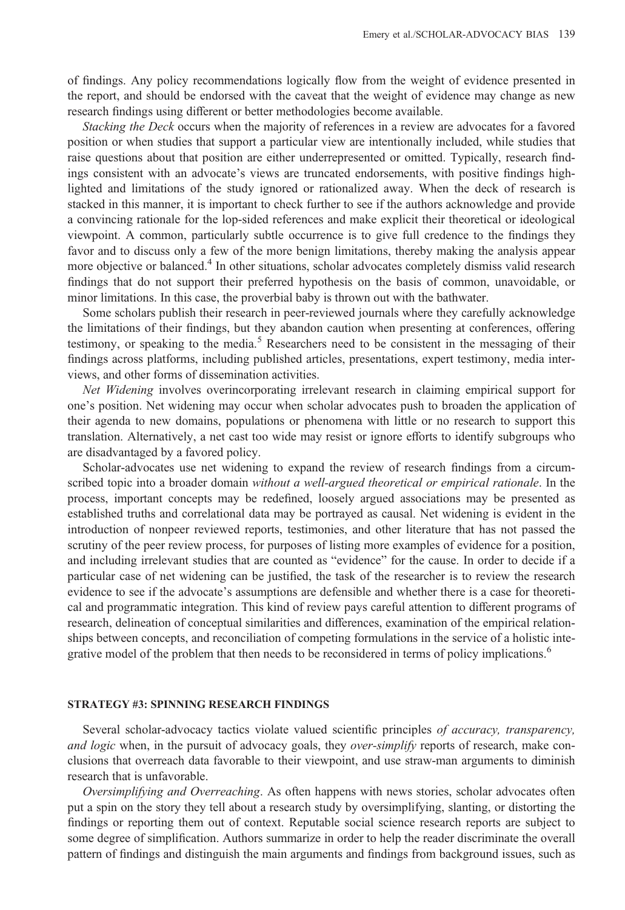of findings. Any policy recommendations logically flow from the weight of evidence presented in the report, and should be endorsed with the caveat that the weight of evidence may change as new research findings using different or better methodologies become available.

Stacking the Deck occurs when the majority of references in a review are advocates for a favored position or when studies that support a particular view are intentionally included, while studies that raise questions about that position are either underrepresented or omitted. Typically, research findings consistent with an advocate's views are truncated endorsements, with positive findings highlighted and limitations of the study ignored or rationalized away. When the deck of research is stacked in this manner, it is important to check further to see if the authors acknowledge and provide a convincing rationale for the lop-sided references and make explicit their theoretical or ideological viewpoint. A common, particularly subtle occurrence is to give full credence to the findings they favor and to discuss only a few of the more benign limitations, thereby making the analysis appear more objective or balanced.<sup>4</sup> In other situations, scholar advocates completely dismiss valid research findings that do not support their preferred hypothesis on the basis of common, unavoidable, or minor limitations. In this case, the proverbial baby is thrown out with the bathwater.

Some scholars publish their research in peer-reviewed journals where they carefully acknowledge the limitations of their findings, but they abandon caution when presenting at conferences, offering testimony, or speaking to the media.<sup>5</sup> Researchers need to be consistent in the messaging of their findings across platforms, including published articles, presentations, expert testimony, media interviews, and other forms of dissemination activities.

Net Widening involves overincorporating irrelevant research in claiming empirical support for one's position. Net widening may occur when scholar advocates push to broaden the application of their agenda to new domains, populations or phenomena with little or no research to support this translation. Alternatively, a net cast too wide may resist or ignore efforts to identify subgroups who are disadvantaged by a favored policy.

Scholar-advocates use net widening to expand the review of research findings from a circumscribed topic into a broader domain without a well-argued theoretical or empirical rationale. In the process, important concepts may be redefined, loosely argued associations may be presented as established truths and correlational data may be portrayed as causal. Net widening is evident in the introduction of nonpeer reviewed reports, testimonies, and other literature that has not passed the scrutiny of the peer review process, for purposes of listing more examples of evidence for a position, and including irrelevant studies that are counted as "evidence" for the cause. In order to decide if a particular case of net widening can be justified, the task of the researcher is to review the research evidence to see if the advocate's assumptions are defensible and whether there is a case for theoretical and programmatic integration. This kind of review pays careful attention to different programs of research, delineation of conceptual similarities and differences, examination of the empirical relationships between concepts, and reconciliation of competing formulations in the service of a holistic integrative model of the problem that then needs to be reconsidered in terms of policy implications.<sup>6</sup>

# STRATEGY #3: SPINNING RESEARCH FINDINGS

Several scholar-advocacy tactics violate valued scientific principles of accuracy, transparency, and logic when, in the pursuit of advocacy goals, they over-simplify reports of research, make conclusions that overreach data favorable to their viewpoint, and use straw-man arguments to diminish research that is unfavorable.

Oversimplifying and Overreaching. As often happens with news stories, scholar advocates often put a spin on the story they tell about a research study by oversimplifying, slanting, or distorting the findings or reporting them out of context. Reputable social science research reports are subject to some degree of simplification. Authors summarize in order to help the reader discriminate the overall pattern of findings and distinguish the main arguments and findings from background issues, such as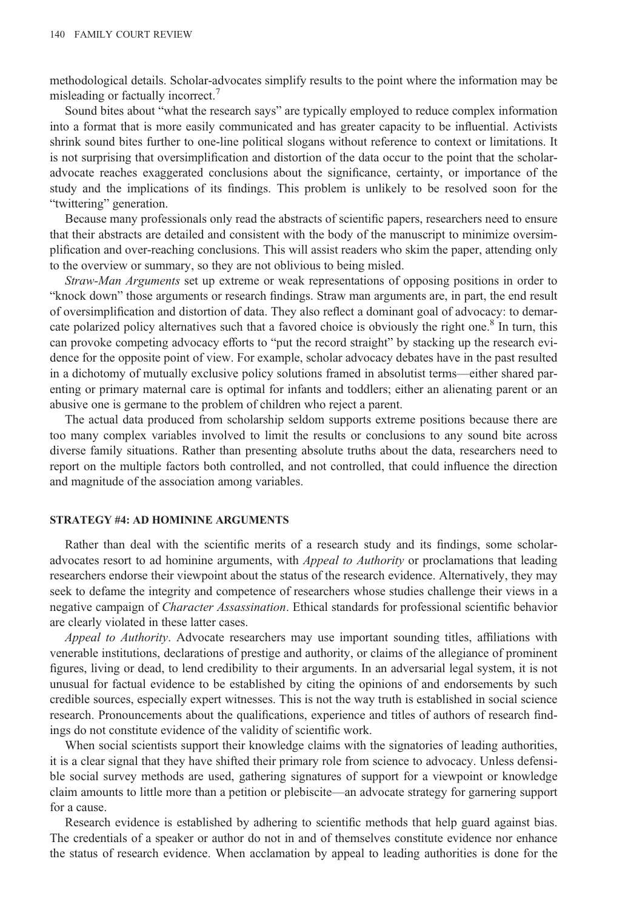methodological details. Scholar-advocates simplify results to the point where the information may be misleading or factually incorrect.<sup>7</sup>

Sound bites about "what the research says" are typically employed to reduce complex information into a format that is more easily communicated and has greater capacity to be influential. Activists shrink sound bites further to one-line political slogans without reference to context or limitations. It is not surprising that oversimplification and distortion of the data occur to the point that the scholaradvocate reaches exaggerated conclusions about the significance, certainty, or importance of the study and the implications of its findings. This problem is unlikely to be resolved soon for the "twittering" generation.

Because many professionals only read the abstracts of scientific papers, researchers need to ensure that their abstracts are detailed and consistent with the body of the manuscript to minimize oversimplification and over-reaching conclusions. This will assist readers who skim the paper, attending only to the overview or summary, so they are not oblivious to being misled.

Straw-Man Arguments set up extreme or weak representations of opposing positions in order to "knock down" those arguments or research findings. Straw man arguments are, in part, the end result of oversimplification and distortion of data. They also reflect a dominant goal of advocacy: to demarcate polarized policy alternatives such that a favored choice is obviously the right one.<sup>8</sup> In turn, this can provoke competing advocacy efforts to "put the record straight" by stacking up the research evidence for the opposite point of view. For example, scholar advocacy debates have in the past resulted in a dichotomy of mutually exclusive policy solutions framed in absolutist terms—either shared parenting or primary maternal care is optimal for infants and toddlers; either an alienating parent or an abusive one is germane to the problem of children who reject a parent.

The actual data produced from scholarship seldom supports extreme positions because there are too many complex variables involved to limit the results or conclusions to any sound bite across diverse family situations. Rather than presenting absolute truths about the data, researchers need to report on the multiple factors both controlled, and not controlled, that could influence the direction and magnitude of the association among variables.

### STRATEGY #4: AD HOMININE ARGUMENTS

Rather than deal with the scientific merits of a research study and its findings, some scholaradvocates resort to ad hominine arguments, with *Appeal to Authority* or proclamations that leading researchers endorse their viewpoint about the status of the research evidence. Alternatively, they may seek to defame the integrity and competence of researchers whose studies challenge their views in a negative campaign of *Character Assassination*. Ethical standards for professional scientific behavior are clearly violated in these latter cases.

Appeal to Authority. Advocate researchers may use important sounding titles, affiliations with venerable institutions, declarations of prestige and authority, or claims of the allegiance of prominent figures, living or dead, to lend credibility to their arguments. In an adversarial legal system, it is not unusual for factual evidence to be established by citing the opinions of and endorsements by such credible sources, especially expert witnesses. This is not the way truth is established in social science research. Pronouncements about the qualifications, experience and titles of authors of research findings do not constitute evidence of the validity of scientific work.

When social scientists support their knowledge claims with the signatories of leading authorities, it is a clear signal that they have shifted their primary role from science to advocacy. Unless defensible social survey methods are used, gathering signatures of support for a viewpoint or knowledge claim amounts to little more than a petition or plebiscite—an advocate strategy for garnering support for a cause.

Research evidence is established by adhering to scientific methods that help guard against bias. The credentials of a speaker or author do not in and of themselves constitute evidence nor enhance the status of research evidence. When acclamation by appeal to leading authorities is done for the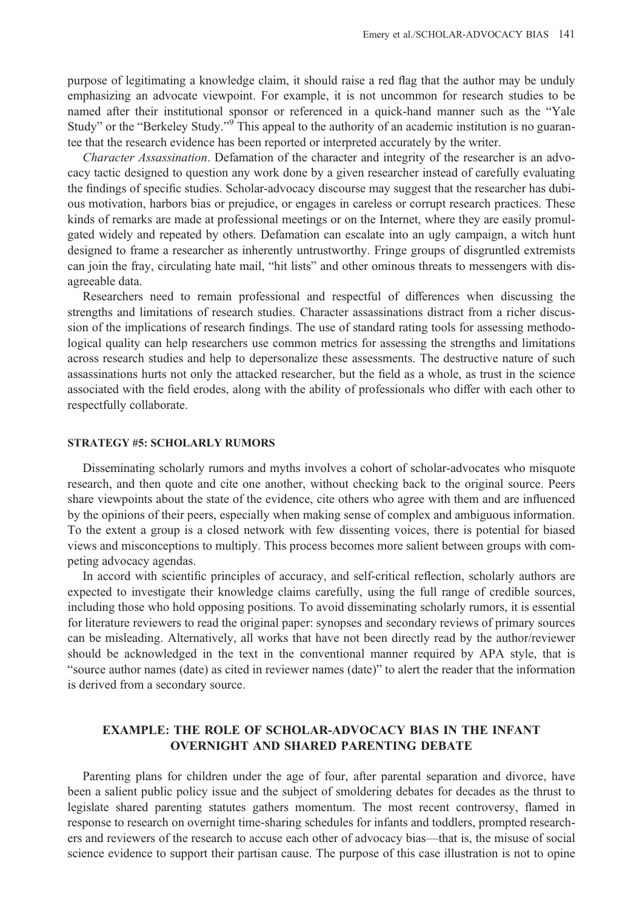purpose of legitimating a knowledge claim, it should raise a red flag that the author may be unduly emphasizing an advocate viewpoint. For example, it is not uncommon for research studies to be named after their institutional sponsor or referenced in a quick-hand manner such as the "Yale Study" or the "Berkeley Study."<sup>9</sup> This appeal to the authority of an academic institution is no guarantee that the research evidence has been reported or interpreted accurately by the writer.

Character Assassination. Defamation of the character and integrity of the researcher is an advocacy tactic designed to question any work done by a given researcher instead of carefully evaluating the findings of specific studies. Scholar-advocacy discourse may suggest that the researcher has dubious motivation, harbors bias or prejudice, or engages in careless or corrupt research practices. These kinds of remarks are made at professional meetings or on the Internet, where they are easily promulgated widely and repeated by others. Defamation can escalate into an ugly campaign, a witch hunt designed to frame a researcher as inherently untrustworthy. Fringe groups of disgruntled extremists can join the fray, circulating hate mail, "hit lists" and other ominous threats to messengers with disagreeable data.

Researchers need to remain professional and respectful of differences when discussing the strengths and limitations of research studies. Character assassinations distract from a richer discussion of the implications of research findings. The use of standard rating tools for assessing methodological quality can help researchers use common metrics for assessing the strengths and limitations across research studies and help to depersonalize these assessments. The destructive nature of such assassinations hurts not only the attacked researcher, but the field as a whole, as trust in the science associated with the field erodes, along with the ability of professionals who differ with each other to respectfully collaborate.

### STRATEGY #5: SCHOLARLY RUMORS

Disseminating scholarly rumors and myths involves a cohort of scholar-advocates who misquote research, and then quote and cite one another, without checking back to the original source. Peers share viewpoints about the state of the evidence, cite others who agree with them and are influenced by the opinions of their peers, especially when making sense of complex and ambiguous information. To the extent a group is a closed network with few dissenting voices, there is potential for biased views and misconceptions to multiply. This process becomes more salient between groups with competing advocacy agendas.

In accord with scientific principles of accuracy, and self-critical reflection, scholarly authors are expected to investigate their knowledge claims carefully, using the full range of credible sources, including those who hold opposing positions. To avoid disseminating scholarly rumors, it is essential for literature reviewers to read the original paper: synopses and secondary reviews of primary sources can be misleading. Alternatively, all works that have not been directly read by the author/reviewer should be acknowledged in the text in the conventional manner required by APA style, that is "source author names (date) as cited in reviewer names (date)" to alert the reader that the information is derived from a secondary source.

# EXAMPLE: THE ROLE OF SCHOLAR-ADVOCACY BIAS IN THE INFANT OVERNIGHT AND SHARED PARENTING DEBATE

Parenting plans for children under the age of four, after parental separation and divorce, have been a salient public policy issue and the subject of smoldering debates for decades as the thrust to legislate shared parenting statutes gathers momentum. The most recent controversy, flamed in response to research on overnight time-sharing schedules for infants and toddlers, prompted researchers and reviewers of the research to accuse each other of advocacy bias—that is, the misuse of social science evidence to support their partisan cause. The purpose of this case illustration is not to opine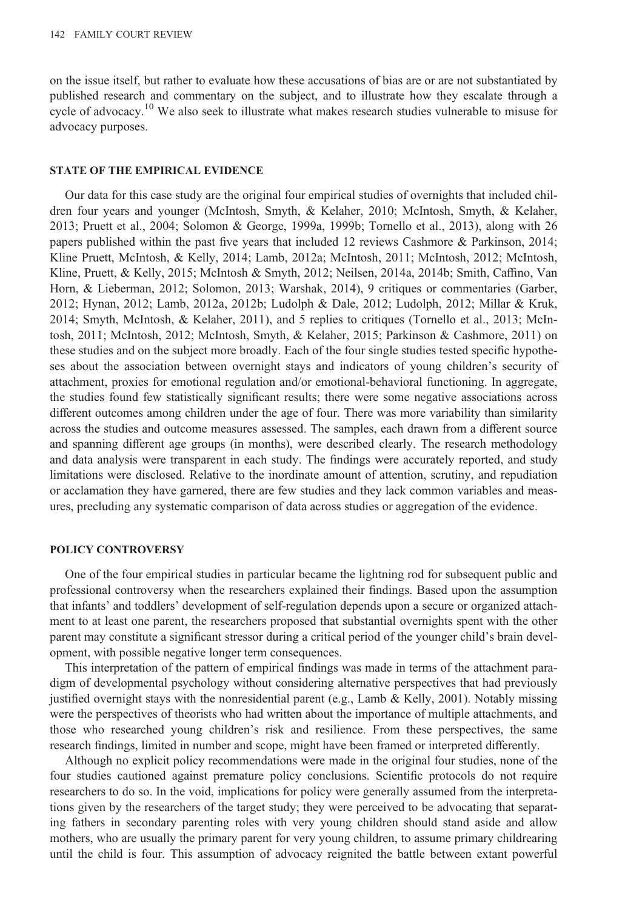on the issue itself, but rather to evaluate how these accusations of bias are or are not substantiated by published research and commentary on the subject, and to illustrate how they escalate through a cycle of advocacy.<sup>10</sup> We also seek to illustrate what makes research studies vulnerable to misuse for advocacy purposes.

### STATE OF THE EMPIRICAL EVIDENCE

Our data for this case study are the original four empirical studies of overnights that included children four years and younger (McIntosh, Smyth, & Kelaher, 2010; McIntosh, Smyth, & Kelaher, 2013; Pruett et al., 2004; Solomon & George, 1999a, 1999b; Tornello et al., 2013), along with 26 papers published within the past five years that included 12 reviews Cashmore & Parkinson, 2014; Kline Pruett, McIntosh, & Kelly, 2014; Lamb, 2012a; McIntosh, 2011; McIntosh, 2012; McIntosh, Kline, Pruett, & Kelly, 2015; McIntosh & Smyth, 2012; Neilsen, 2014a, 2014b; Smith, Caffino, Van Horn, & Lieberman, 2012; Solomon, 2013; Warshak, 2014), 9 critiques or commentaries (Garber, 2012; Hynan, 2012; Lamb, 2012a, 2012b; Ludolph & Dale, 2012; Ludolph, 2012; Millar & Kruk, 2014; Smyth, McIntosh, & Kelaher, 2011), and 5 replies to critiques (Tornello et al., 2013; McIntosh, 2011; McIntosh, 2012; McIntosh, Smyth, & Kelaher, 2015; Parkinson & Cashmore, 2011) on these studies and on the subject more broadly. Each of the four single studies tested specific hypotheses about the association between overnight stays and indicators of young children's security of attachment, proxies for emotional regulation and/or emotional-behavioral functioning. In aggregate, the studies found few statistically significant results; there were some negative associations across different outcomes among children under the age of four. There was more variability than similarity across the studies and outcome measures assessed. The samples, each drawn from a different source and spanning different age groups (in months), were described clearly. The research methodology and data analysis were transparent in each study. The findings were accurately reported, and study limitations were disclosed. Relative to the inordinate amount of attention, scrutiny, and repudiation or acclamation they have garnered, there are few studies and they lack common variables and measures, precluding any systematic comparison of data across studies or aggregation of the evidence.

#### POLICY CONTROVERSY

One of the four empirical studies in particular became the lightning rod for subsequent public and professional controversy when the researchers explained their findings. Based upon the assumption that infants' and toddlers' development of self-regulation depends upon a secure or organized attachment to at least one parent, the researchers proposed that substantial overnights spent with the other parent may constitute a significant stressor during a critical period of the younger child's brain development, with possible negative longer term consequences.

This interpretation of the pattern of empirical findings was made in terms of the attachment paradigm of developmental psychology without considering alternative perspectives that had previously justified overnight stays with the nonresidential parent (e.g., Lamb & Kelly, 2001). Notably missing were the perspectives of theorists who had written about the importance of multiple attachments, and those who researched young children's risk and resilience. From these perspectives, the same research findings, limited in number and scope, might have been framed or interpreted differently.

Although no explicit policy recommendations were made in the original four studies, none of the four studies cautioned against premature policy conclusions. Scientific protocols do not require researchers to do so. In the void, implications for policy were generally assumed from the interpretations given by the researchers of the target study; they were perceived to be advocating that separating fathers in secondary parenting roles with very young children should stand aside and allow mothers, who are usually the primary parent for very young children, to assume primary childrearing until the child is four. This assumption of advocacy reignited the battle between extant powerful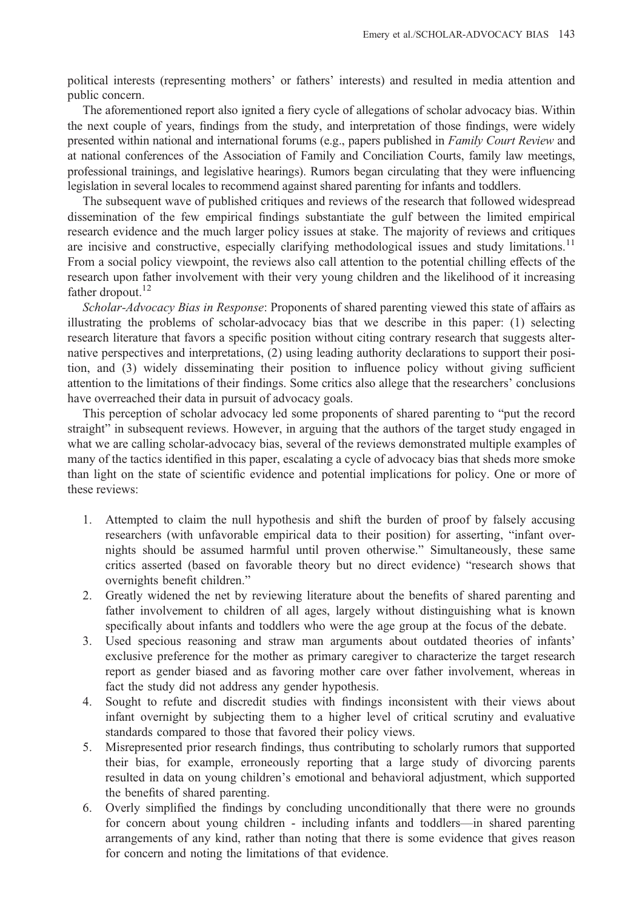political interests (representing mothers' or fathers' interests) and resulted in media attention and public concern.

The aforementioned report also ignited a fiery cycle of allegations of scholar advocacy bias. Within the next couple of years, findings from the study, and interpretation of those findings, were widely presented within national and international forums (e.g., papers published in Family Court Review and at national conferences of the Association of Family and Conciliation Courts, family law meetings, professional trainings, and legislative hearings). Rumors began circulating that they were influencing legislation in several locales to recommend against shared parenting for infants and toddlers.

The subsequent wave of published critiques and reviews of the research that followed widespread dissemination of the few empirical findings substantiate the gulf between the limited empirical research evidence and the much larger policy issues at stake. The majority of reviews and critiques are incisive and constructive, especially clarifying methodological issues and study limitations.<sup>11</sup> From a social policy viewpoint, the reviews also call attention to the potential chilling effects of the research upon father involvement with their very young children and the likelihood of it increasing father dropout.<sup>12</sup>

Scholar-Advocacy Bias in Response: Proponents of shared parenting viewed this state of affairs as illustrating the problems of scholar-advocacy bias that we describe in this paper: (1) selecting research literature that favors a specific position without citing contrary research that suggests alternative perspectives and interpretations, (2) using leading authority declarations to support their position, and (3) widely disseminating their position to influence policy without giving sufficient attention to the limitations of their findings. Some critics also allege that the researchers' conclusions have overreached their data in pursuit of advocacy goals.

This perception of scholar advocacy led some proponents of shared parenting to "put the record straight" in subsequent reviews. However, in arguing that the authors of the target study engaged in what we are calling scholar-advocacy bias, several of the reviews demonstrated multiple examples of many of the tactics identified in this paper, escalating a cycle of advocacy bias that sheds more smoke than light on the state of scientific evidence and potential implications for policy. One or more of these reviews:

- 1. Attempted to claim the null hypothesis and shift the burden of proof by falsely accusing researchers (with unfavorable empirical data to their position) for asserting, "infant overnights should be assumed harmful until proven otherwise." Simultaneously, these same critics asserted (based on favorable theory but no direct evidence) "research shows that overnights benefit children."
- 2. Greatly widened the net by reviewing literature about the benefits of shared parenting and father involvement to children of all ages, largely without distinguishing what is known specifically about infants and toddlers who were the age group at the focus of the debate.
- 3. Used specious reasoning and straw man arguments about outdated theories of infants' exclusive preference for the mother as primary caregiver to characterize the target research report as gender biased and as favoring mother care over father involvement, whereas in fact the study did not address any gender hypothesis.
- 4. Sought to refute and discredit studies with findings inconsistent with their views about infant overnight by subjecting them to a higher level of critical scrutiny and evaluative standards compared to those that favored their policy views.
- 5. Misrepresented prior research findings, thus contributing to scholarly rumors that supported their bias, for example, erroneously reporting that a large study of divorcing parents resulted in data on young children's emotional and behavioral adjustment, which supported the benefits of shared parenting.
- 6. Overly simplified the findings by concluding unconditionally that there were no grounds for concern about young children - including infants and toddlers—in shared parenting arrangements of any kind, rather than noting that there is some evidence that gives reason for concern and noting the limitations of that evidence.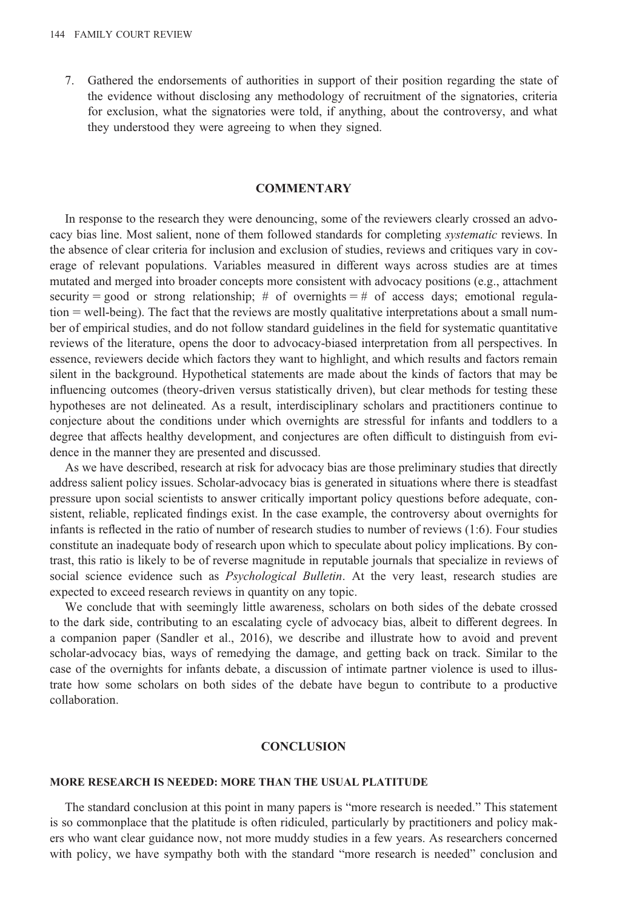7. Gathered the endorsements of authorities in support of their position regarding the state of the evidence without disclosing any methodology of recruitment of the signatories, criteria for exclusion, what the signatories were told, if anything, about the controversy, and what they understood they were agreeing to when they signed.

# **COMMENTARY**

In response to the research they were denouncing, some of the reviewers clearly crossed an advocacy bias line. Most salient, none of them followed standards for completing systematic reviews. In the absence of clear criteria for inclusion and exclusion of studies, reviews and critiques vary in coverage of relevant populations. Variables measured in different ways across studies are at times mutated and merged into broader concepts more consistent with advocacy positions (e.g., attachment security = good or strong relationship; # of overnights  $=$  # of access days; emotional regulation = well-being). The fact that the reviews are mostly qualitative interpretations about a small number of empirical studies, and do not follow standard guidelines in the field for systematic quantitative reviews of the literature, opens the door to advocacy-biased interpretation from all perspectives. In essence, reviewers decide which factors they want to highlight, and which results and factors remain silent in the background. Hypothetical statements are made about the kinds of factors that may be influencing outcomes (theory-driven versus statistically driven), but clear methods for testing these hypotheses are not delineated. As a result, interdisciplinary scholars and practitioners continue to conjecture about the conditions under which overnights are stressful for infants and toddlers to a degree that affects healthy development, and conjectures are often difficult to distinguish from evidence in the manner they are presented and discussed.

As we have described, research at risk for advocacy bias are those preliminary studies that directly address salient policy issues. Scholar-advocacy bias is generated in situations where there is steadfast pressure upon social scientists to answer critically important policy questions before adequate, consistent, reliable, replicated findings exist. In the case example, the controversy about overnights for infants is reflected in the ratio of number of research studies to number of reviews (1:6). Four studies constitute an inadequate body of research upon which to speculate about policy implications. By contrast, this ratio is likely to be of reverse magnitude in reputable journals that specialize in reviews of social science evidence such as *Psychological Bulletin*. At the very least, research studies are expected to exceed research reviews in quantity on any topic.

We conclude that with seemingly little awareness, scholars on both sides of the debate crossed to the dark side, contributing to an escalating cycle of advocacy bias, albeit to different degrees. In a companion paper (Sandler et al., 2016), we describe and illustrate how to avoid and prevent scholar-advocacy bias, ways of remedying the damage, and getting back on track. Similar to the case of the overnights for infants debate, a discussion of intimate partner violence is used to illustrate how some scholars on both sides of the debate have begun to contribute to a productive collaboration.

# **CONCLUSION**

### MORE RESEARCH IS NEEDED: MORE THAN THE USUAL PLATITUDE

The standard conclusion at this point in many papers is "more research is needed." This statement is so commonplace that the platitude is often ridiculed, particularly by practitioners and policy makers who want clear guidance now, not more muddy studies in a few years. As researchers concerned with policy, we have sympathy both with the standard "more research is needed" conclusion and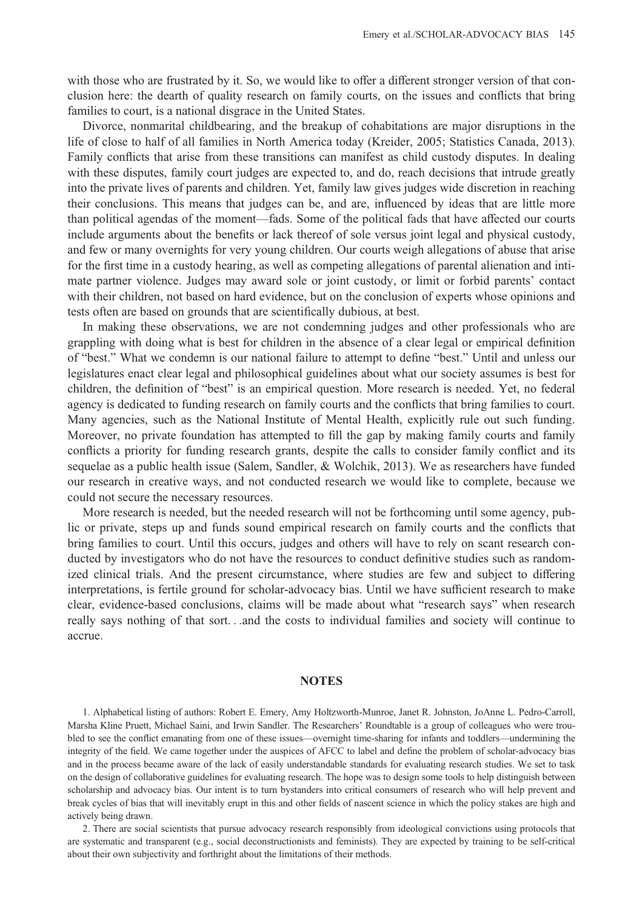with those who are frustrated by it. So, we would like to offer a different stronger version of that conclusion here: the dearth of quality research on family courts, on the issues and conflicts that bring families to court, is a national disgrace in the United States.

Divorce, nonmarital childbearing, and the breakup of cohabitations are major disruptions in the life of close to half of all families in North America today (Kreider, 2005; Statistics Canada, 2013). Family conflicts that arise from these transitions can manifest as child custody disputes. In dealing with these disputes, family court judges are expected to, and do, reach decisions that intrude greatly into the private lives of parents and children. Yet, family law gives judges wide discretion in reaching their conclusions. This means that judges can be, and are, influenced by ideas that are little more than political agendas of the moment—fads. Some of the political fads that have affected our courts include arguments about the benefits or lack thereof of sole versus joint legal and physical custody, and few or many overnights for very young children. Our courts weigh allegations of abuse that arise for the first time in a custody hearing, as well as competing allegations of parental alienation and intimate partner violence. Judges may award sole or joint custody, or limit or forbid parents' contact with their children, not based on hard evidence, but on the conclusion of experts whose opinions and tests often are based on grounds that are scientifically dubious, at best.

In making these observations, we are not condemning judges and other professionals who are grappling with doing what is best for children in the absence of a clear legal or empirical definition of "best." What we condemn is our national failure to attempt to define "best." Until and unless our legislatures enact clear legal and philosophical guidelines about what our society assumes is best for children, the definition of "best" is an empirical question. More research is needed. Yet, no federal agency is dedicated to funding research on family courts and the conflicts that bring families to court. Many agencies, such as the National Institute of Mental Health, explicitly rule out such funding. Moreover, no private foundation has attempted to fill the gap by making family courts and family conflicts a priority for funding research grants, despite the calls to consider family conflict and its sequelae as a public health issue (Salem, Sandler, & Wolchik, 2013). We as researchers have funded our research in creative ways, and not conducted research we would like to complete, because we could not secure the necessary resources.

More research is needed, but the needed research will not be forthcoming until some agency, public or private, steps up and funds sound empirical research on family courts and the conflicts that bring families to court. Until this occurs, judges and others will have to rely on scant research conducted by investigators who do not have the resources to conduct definitive studies such as randomized clinical trials. And the present circumstance, where studies are few and subject to differing interpretations, is fertile ground for scholar-advocacy bias. Until we have sufficient research to make clear, evidence-based conclusions, claims will be made about what "research says" when research really says nothing of that sort...and the costs to individual families and society will continue to accrue.

### **NOTES**

1. Alphabetical listing of authors: Robert E. Emery, Amy Holtzworth-Munroe, Janet R. Johnston, JoAnne L. Pedro-Carroll, Marsha Kline Pruett, Michael Saini, and Irwin Sandler. The Researchers' Roundtable is a group of colleagues who were troubled to see the conflict emanating from one of these issues—overnight time-sharing for infants and toddlers—undermining the integrity of the field. We came together under the auspices of AFCC to label and define the problem of scholar-advocacy bias and in the process became aware of the lack of easily understandable standards for evaluating research studies. We set to task on the design of collaborative guidelines for evaluating research. The hope was to design some tools to help distinguish between scholarship and advocacy bias. Our intent is to turn bystanders into critical consumers of research who will help prevent and break cycles of bias that will inevitably erupt in this and other fields of nascent science in which the policy stakes are high and actively being drawn.

2. There are social scientists that pursue advocacy research responsibly from ideological convictions using protocols that are systematic and transparent (e.g., social deconstructionists and feminists). They are expected by training to be self-critical about their own subjectivity and forthright about the limitations of their methods.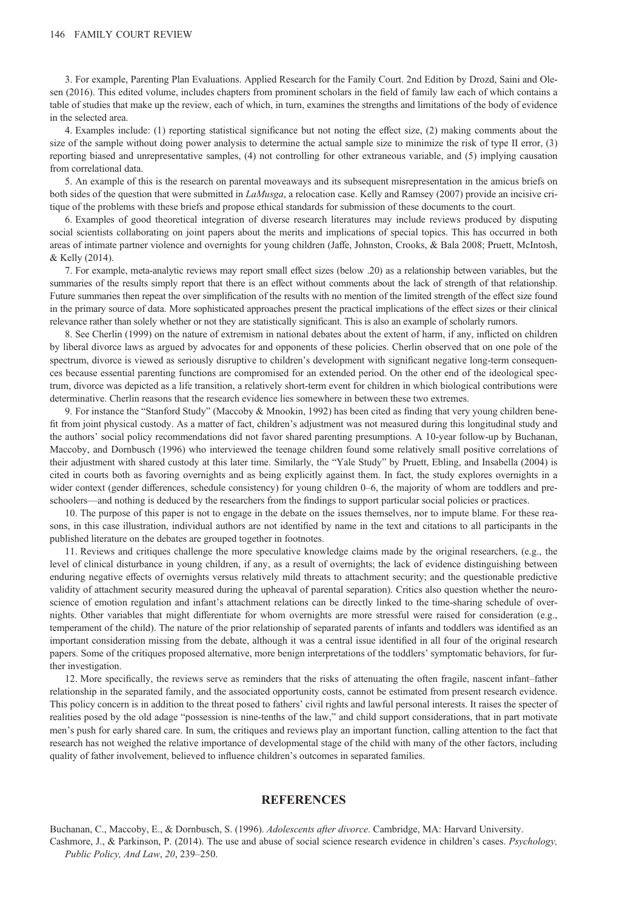3. For example, Parenting Plan Evaluations. Applied Research for the Family Court. 2nd Edition by Drozd, Saini and Olesen (2016). This edited volume, includes chapters from prominent scholars in the field of family law each of which contains a table of studies that make up the review, each of which, in turn, examines the strengths and limitations of the body of evidence in the selected area.

4. Examples include: (1) reporting statistical significance but not noting the effect size, (2) making comments about the size of the sample without doing power analysis to determine the actual sample size to minimize the risk of type II error, (3) reporting biased and unrepresentative samples, (4) not controlling for other extraneous variable, and (5) implying causation from correlational data.

5. An example of this is the research on parental moveaways and its subsequent misrepresentation in the amicus briefs on both sides of the question that were submitted in LaMusga, a relocation case. Kelly and Ramsey (2007) provide an incisive critique of the problems with these briefs and propose ethical standards for submission of these documents to the court.

6. Examples of good theoretical integration of diverse research literatures may include reviews produced by disputing social scientists collaborating on joint papers about the merits and implications of special topics. This has occurred in both areas of intimate partner violence and overnights for young children (Jaffe, Johnston, Crooks, & Bala 2008; Pruett, McIntosh, & Kelly (2014).

7. For example, meta-analytic reviews may report small effect sizes (below .20) as a relationship between variables, but the summaries of the results simply report that there is an effect without comments about the lack of strength of that relationship. Future summaries then repeat the over simplification of the results with no mention of the limited strength of the effect size found in the primary source of data. More sophisticated approaches present the practical implications of the effect sizes or their clinical relevance rather than solely whether or not they are statistically significant. This is also an example of scholarly rumors.

8. See Cherlin (1999) on the nature of extremism in national debates about the extent of harm, if any, inflicted on children by liberal divorce laws as argued by advocates for and opponents of these policies. Cherlin observed that on one pole of the spectrum, divorce is viewed as seriously disruptive to children's development with significant negative long-term consequences because essential parenting functions are compromised for an extended period. On the other end of the ideological spectrum, divorce was depicted as a life transition, a relatively short-term event for children in which biological contributions were determinative. Cherlin reasons that the research evidence lies somewhere in between these two extremes.

9. For instance the "Stanford Study" (Maccoby & Mnookin, 1992) has been cited as finding that very young children benefit from joint physical custody. As a matter of fact, children's adjustment was not measured during this longitudinal study and the authors' social policy recommendations did not favor shared parenting presumptions. A 10-year follow-up by Buchanan, Maccoby, and Dornbusch (1996) who interviewed the teenage children found some relatively small positive correlations of their adjustment with shared custody at this later time. Similarly, the "Yale Study" by Pruett, Ebling, and Insabella (2004) is cited in courts both as favoring overnights and as being explicitly against them. In fact, the study explores overnights in a wider context (gender differences, schedule consistency) for young children 0–6, the majority of whom are toddlers and preschoolers—and nothing is deduced by the researchers from the findings to support particular social policies or practices.

10. The purpose of this paper is not to engage in the debate on the issues themselves, nor to impute blame. For these reasons, in this case illustration, individual authors are not identified by name in the text and citations to all participants in the published literature on the debates are grouped together in footnotes.

11. Reviews and critiques challenge the more speculative knowledge claims made by the original researchers, (e.g., the level of clinical disturbance in young children, if any, as a result of overnights; the lack of evidence distinguishing between enduring negative effects of overnights versus relatively mild threats to attachment security; and the questionable predictive validity of attachment security measured during the upheaval of parental separation). Critics also question whether the neuroscience of emotion regulation and infant's attachment relations can be directly linked to the time-sharing schedule of overnights. Other variables that might differentiate for whom overnights are more stressful were raised for consideration (e.g., temperament of the child). The nature of the prior relationship of separated parents of infants and toddlers was identified as an important consideration missing from the debate, although it was a central issue identified in all four of the original research papers. Some of the critiques proposed alternative, more benign interpretations of the toddlers' symptomatic behaviors, for further investigation.

12. More specifically, the reviews serve as reminders that the risks of attenuating the often fragile, nascent infant–father relationship in the separated family, and the associated opportunity costs, cannot be estimated from present research evidence. This policy concern is in addition to the threat posed to fathers' civil rights and lawful personal interests. It raises the specter of realities posed by the old adage "possession is nine-tenths of the law," and child support considerations, that in part motivate men's push for early shared care. In sum, the critiques and reviews play an important function, calling attention to the fact that research has not weighed the relative importance of developmental stage of the child with many of the other factors, including quality of father involvement, believed to influence children's outcomes in separated families.

### **REFERENCES**

Buchanan, C., Maccoby, E., & Dornbusch, S. (1996). Adolescents after divorce. Cambridge, MA: Harvard University. Cashmore, J., & Parkinson, P. (2014). The use and abuse of social science research evidence in children's cases. Psychology, Public Policy, And Law, 20, 239–250.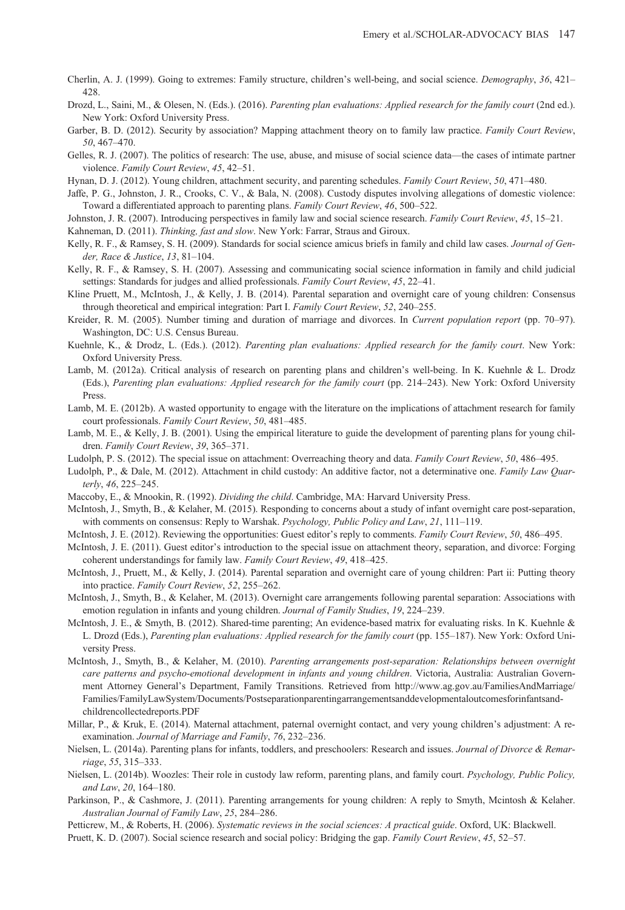- Cherlin, A. J. (1999). Going to extremes: Family structure, children's well-being, and social science. Demography, 36, 421– 428.
- Drozd, L., Saini, M., & Olesen, N. (Eds.). (2016). Parenting plan evaluations: Applied research for the family court (2nd ed.). New York: Oxford University Press.
- Garber, B. D. (2012). Security by association? Mapping attachment theory on to family law practice. Family Court Review, 50, 467–470.
- Gelles, R. J. (2007). The politics of research: The use, abuse, and misuse of social science data—the cases of intimate partner violence. Family Court Review, 45, 42–51.
- Hynan, D. J. (2012). Young children, attachment security, and parenting schedules. Family Court Review, 50, 471-480.
- Jaffe, P. G., Johnston, J. R., Crooks, C. V., & Bala, N. (2008). Custody disputes involving allegations of domestic violence: Toward a differentiated approach to parenting plans. Family Court Review, 46, 500–522.
- Johnston, J. R. (2007). Introducing perspectives in family law and social science research. Family Court Review, 45, 15–21.
- Kahneman, D. (2011). Thinking, fast and slow. New York: Farrar, Straus and Giroux.
- Kelly, R. F., & Ramsey, S. H. (2009). Standards for social science amicus briefs in family and child law cases. Journal of Gender, Race & Justice, 13, 81–104.
- Kelly, R. F., & Ramsey, S. H. (2007). Assessing and communicating social science information in family and child judicial settings: Standards for judges and allied professionals. Family Court Review, 45, 22–41.
- Kline Pruett, M., McIntosh, J., & Kelly, J. B. (2014). Parental separation and overnight care of young children: Consensus through theoretical and empirical integration: Part I. Family Court Review, 52, 240-255.
- Kreider, R. M. (2005). Number timing and duration of marriage and divorces. In Current population report (pp. 70–97). Washington, DC: U.S. Census Bureau.
- Kuehnle, K., & Drodz, L. (Eds.). (2012). Parenting plan evaluations: Applied research for the family court. New York: Oxford University Press.
- Lamb, M. (2012a). Critical analysis of research on parenting plans and children's well-being. In K. Kuehnle & L. Drodz (Eds.), Parenting plan evaluations: Applied research for the family court (pp. 214–243). New York: Oxford University Press.
- Lamb, M. E. (2012b). A wasted opportunity to engage with the literature on the implications of attachment research for family court professionals. Family Court Review, 50, 481–485.
- Lamb, M. E., & Kelly, J. B. (2001). Using the empirical literature to guide the development of parenting plans for young children. Family Court Review, 39, 365–371.
- Ludolph, P. S. (2012). The special issue on attachment: Overreaching theory and data. Family Court Review, 50, 486–495.
- Ludolph, P., & Dale, M. (2012). Attachment in child custody: An additive factor, not a determinative one. Family Law Quarterly, 46, 225–245.
- Maccoby, E., & Mnookin, R. (1992). *Dividing the child.* Cambridge, MA: Harvard University Press.
- McIntosh, J., Smyth, B., & Kelaher, M. (2015). Responding to concerns about a study of infant overnight care post-separation, with comments on consensus: Reply to Warshak. *Psychology, Public Policy and Law*, 21, 111–119.
- McIntosh, J. E. (2012). Reviewing the opportunities: Guest editor's reply to comments. Family Court Review, 50, 486–495.
- McIntosh, J. E. (2011). Guest editor's introduction to the special issue on attachment theory, separation, and divorce: Forging coherent understandings for family law. Family Court Review, 49, 418–425.
- McIntosh, J., Pruett, M., & Kelly, J. (2014). Parental separation and overnight care of young children: Part ii: Putting theory into practice. Family Court Review, 52, 255–262.
- McIntosh, J., Smyth, B., & Kelaher, M. (2013). Overnight care arrangements following parental separation: Associations with emotion regulation in infants and young children. Journal of Family Studies, 19, 224–239.
- McIntosh, J. E., & Smyth, B. (2012). Shared-time parenting; An evidence-based matrix for evaluating risks. In K. Kuehnle & L. Drozd (Eds.), Parenting plan evaluations: Applied research for the family court (pp. 155–187). New York: Oxford University Press.
- McIntosh, J., Smyth, B., & Kelaher, M. (2010). Parenting arrangements post-separation: Relationships between overnight care patterns and psycho-emotional development in infants and young children. Victoria, Australia: Australian Government Attorney General's Department, Family Transitions. Retrieved from [http://www.ag.gov.au/FamiliesAndMarriage/](http://www.ag.gov.au/FamiliesAndMarriage/Families/FamilyLawSystem/Documents/Postseparationparentingarrangementsanddevelopmentaloutcomesforinfantsandchildrencollectedreports.PDF) [Families/FamilyLawSystem/Documents/Postseparationparentingarrangementsanddevelopmentaloutcomesforinfantsand](http://www.ag.gov.au/FamiliesAndMarriage/Families/FamilyLawSystem/Documents/Postseparationparentingarrangementsanddevelopmentaloutcomesforinfantsandchildrencollectedreports.PDF)[childrencollectedreports.PDF](http://www.ag.gov.au/FamiliesAndMarriage/Families/FamilyLawSystem/Documents/Postseparationparentingarrangementsanddevelopmentaloutcomesforinfantsandchildrencollectedreports.PDF)
- Millar, P., & Kruk, E. (2014). Maternal attachment, paternal overnight contact, and very young children's adjustment: A reexamination. Journal of Marriage and Family, 76, 232–236.
- Nielsen, L. (2014a). Parenting plans for infants, toddlers, and preschoolers: Research and issues. Journal of Divorce & Remarriage, 55, 315–333.
- Nielsen, L. (2014b). Woozles: Their role in custody law reform, parenting plans, and family court. Psychology, Public Policy, and Law, 20, 164–180.
- Parkinson, P., & Cashmore, J. (2011). Parenting arrangements for young children: A reply to Smyth, Mcintosh & Kelaher. Australian Journal of Family Law, 25, 284–286.

Petticrew, M., & Roberts, H. (2006). Systematic reviews in the social sciences: A practical guide. Oxford, UK: Blackwell.

Pruett, K. D. (2007). Social science research and social policy: Bridging the gap. Family Court Review, 45, 52–57.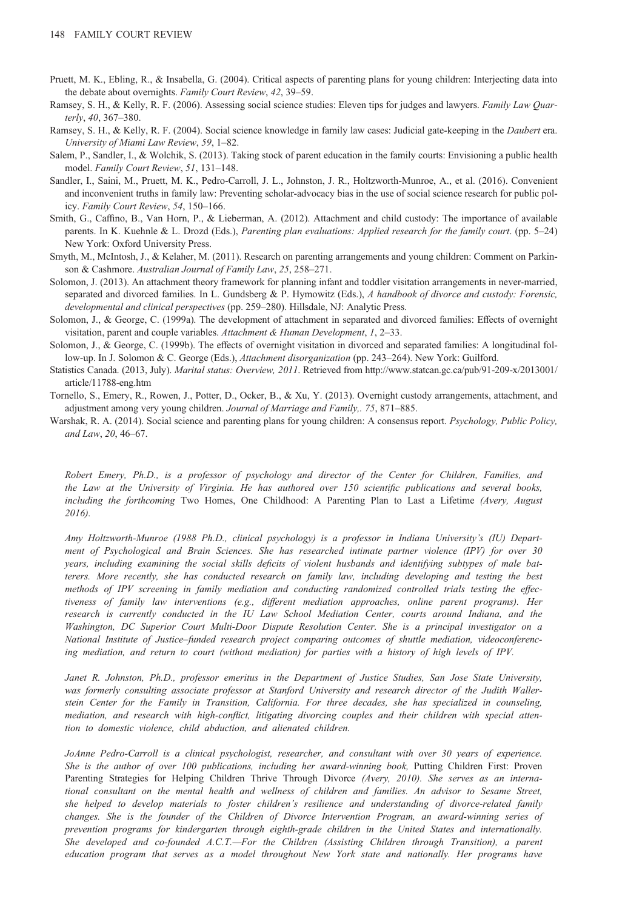- Pruett, M. K., Ebling, R., & Insabella, G. (2004). Critical aspects of parenting plans for young children: Interjecting data into the debate about overnights. Family Court Review, 42, 39–59.
- Ramsey, S. H., & Kelly, R. F. (2006). Assessing social science studies: Eleven tips for judges and lawyers. Family Law Quarterly, 40, 367–380.
- Ramsey, S. H., & Kelly, R. F. (2004). Social science knowledge in family law cases: Judicial gate-keeping in the *Daubert* era. University of Miami Law Review, 59, 1–82.
- Salem, P., Sandler, I., & Wolchik, S. (2013). Taking stock of parent education in the family courts: Envisioning a public health model. Family Court Review, 51, 131–148.
- Sandler, I., Saini, M., Pruett, M. K., Pedro-Carroll, J. L., Johnston, J. R., Holtzworth-Munroe, A., et al. (2016). Convenient and inconvenient truths in family law: Preventing scholar-advocacy bias in the use of social science research for public policy. Family Court Review, 54, 150–166.
- Smith, G., Caffino, B., Van Horn, P., & Lieberman, A. (2012). Attachment and child custody: The importance of available parents. In K. Kuehnle & L. Drozd (Eds.), Parenting plan evaluations: Applied research for the family court. (pp. 5–24) New York: Oxford University Press.
- Smyth, M., McIntosh, J., & Kelaher, M. (2011). Research on parenting arrangements and young children: Comment on Parkinson & Cashmore. Australian Journal of Family Law, 25, 258–271.
- Solomon, J. (2013). An attachment theory framework for planning infant and toddler visitation arrangements in never-married, separated and divorced families. In L. Gundsberg & P. Hymowitz (Eds.), A handbook of divorce and custody: Forensic, developmental and clinical perspectives (pp. 259–280). Hillsdale, NJ: Analytic Press.
- Solomon, J., & George, C. (1999a). The development of attachment in separated and divorced families: Effects of overnight visitation, parent and couple variables. Attachment & Human Development, 1, 2–33.
- Solomon, J., & George, C. (1999b). The effects of overnight visitation in divorced and separated families: A longitudinal follow-up. In J. Solomon & C. George (Eds.), Attachment disorganization (pp. 243–264). New York: Guilford.
- Statistics Canada. (2013, July). Marital status: Overview, 2011. Retrieved from [http://www.statcan.gc.ca/pub/91-209-x/2013001/](http://www.statcan.gc.ca/pub/91-209-x/2013001/article/11788-eng.htm) [article/11788-eng.htm](http://www.statcan.gc.ca/pub/91-209-x/2013001/article/11788-eng.htm)
- Tornello, S., Emery, R., Rowen, J., Potter, D., Ocker, B., & Xu, Y. (2013). Overnight custody arrangements, attachment, and adjustment among very young children. Journal of Marriage and Family,. 75, 871–885.
- Warshak, R. A. (2014). Social science and parenting plans for young children: A consensus report. Psychology, Public Policy, and Law, 20, 46–67.

Robert Emery, Ph.D., is a professor of psychology and director of the Center for Children, Families, and the Law at the University of Virginia. He has authored over 150 scientific publications and several books, including the forthcoming Two Homes, One Childhood: A Parenting Plan to Last a Lifetime (Avery, August 2016).

Amy Holtzworth-Munroe (1988 Ph.D., clinical psychology) is a professor in Indiana University's (IU) Department of Psychological and Brain Sciences. She has researched intimate partner violence (IPV) for over 30 years, including examining the social skills deficits of violent husbands and identifying subtypes of male batterers. More recently, she has conducted research on family law, including developing and testing the best methods of IPV screening in family mediation and conducting randomized controlled trials testing the effectiveness of family law interventions (e.g., different mediation approaches, online parent programs). Her research is currently conducted in the IU Law School Mediation Center, courts around Indiana, and the Washington, DC Superior Court Multi-Door Dispute Resolution Center. She is a principal investigator on a National Institute of Justice–funded research project comparing outcomes of shuttle mediation, videoconferencing mediation, and return to court (without mediation) for parties with a history of high levels of IPV.

Janet R. Johnston, Ph.D., professor emeritus in the Department of Justice Studies, San Jose State University, was formerly consulting associate professor at Stanford University and research director of the Judith Wallerstein Center for the Family in Transition, California. For three decades, she has specialized in counseling, mediation, and research with high-conflict, litigating divorcing couples and their children with special attention to domestic violence, child abduction, and alienated children.

JoAnne Pedro-Carroll is a clinical psychologist, researcher, and consultant with over 30 years of experience. She is the author of over 100 publications, including her award-winning book, Putting Children First: Proven Parenting Strategies for Helping Children Thrive Through Divorce (Avery, 2010). She serves as an international consultant on the mental health and wellness of children and families. An advisor to Sesame Street, she helped to develop materials to foster children's resilience and understanding of divorce-related family changes. She is the founder of the Children of Divorce Intervention Program, an award-winning series of prevention programs for kindergarten through eighth-grade children in the United States and internationally. She developed and co-founded A.C.T.—For the Children (Assisting Children through Transition), a parent education program that serves as a model throughout New York state and nationally. Her programs have